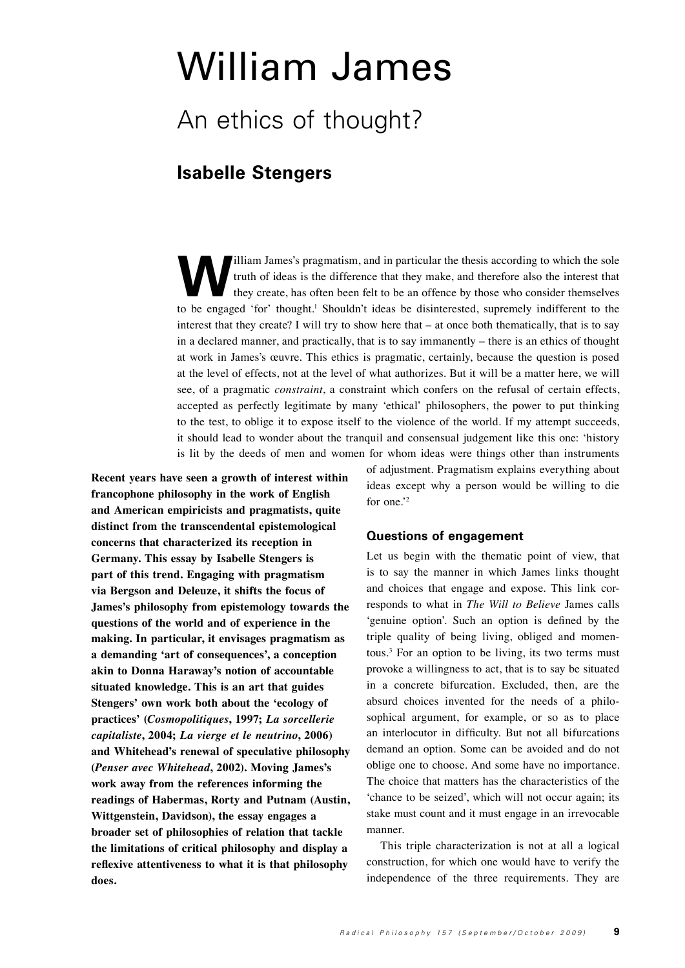# William James

## An ethics of thought?

### **Isabelle Stengers**

Illiam James's pragmatism, and in particular the thesis according to which the sole<br>truth of ideas is the difference that they make, and therefore also the interest that<br>they create, has often been felt to be an offence by truth of ideas is the difference that they make, and therefore also the interest that they create, has often been felt to be an offence by those who consider themselves to be engaged 'for' thought.<sup>1</sup> Shouldn't ideas be disinterested, supremely indifferent to the interest that they create? I will try to show here that – at once both thematically, that is to say in a declared manner, and practically, that is to say immanently – there is an ethics of thought at work in James's œuvre. This ethics is pragmatic, certainly, because the question is posed at the level of effects, not at the level of what authorizes. But it will be a matter here, we will see, of a pragmatic *constraint*, a constraint which confers on the refusal of certain effects, accepted as perfectly legitimate by many 'ethical' philosophers, the power to put thinking to the test, to oblige it to expose itself to the violence of the world. If my attempt succeeds, it should lead to wonder about the tranquil and consensual judgement like this one: 'history is lit by the deeds of men and women for whom ideas were things other than instruments

**Recent years have seen a growth of interest within francophone philosophy in the work of English and American empiricists and pragmatists, quite distinct from the transcendental epistemological concerns that characterized its reception in Germany. This essay by Isabelle Stengers is part of this trend. Engaging with pragmatism via Bergson and Deleuze, it shifts the focus of James's philosophy from epistemology towards the questions of the world and of experience in the making. In particular, it envisages pragmatism as a demanding 'art of consequences', a conception akin to Donna Haraway's notion of accountable situated knowledge. This is an art that guides Stengers' own work both about the 'ecology of practices' (***Cosmopolitiques***, 1997;** *La sorcellerie capitaliste***, 2004;** *La vierge et le neutrino***, 2006) and Whitehead's renewal of speculative philosophy (***Penser avec Whitehead***, 2002). Moving James's work away from the references informing the readings of Habermas, Rorty and Putnam (Austin, Wittgenstein, Davidson), the essay engages a broader set of philosophies of relation that tackle the limitations of critical philosophy and display a reflexive attentiveness to what it is that philosophy does.**

of adjustment. Pragmatism explains everything about ideas except why a person would be willing to die for one.'<sup>2</sup>

#### **Questions of engagement**

Let us begin with the thematic point of view, that is to say the manner in which James links thought and choices that engage and expose. This link corresponds to what in *The Will to Believe* James calls 'genuine option'. Such an option is defined by the triple quality of being living, obliged and momentous.3 For an option to be living, its two terms must provoke a willingness to act, that is to say be situated in a concrete bifurcation. Excluded, then, are the absurd choices invented for the needs of a philosophical argument, for example, or so as to place an interlocutor in difficulty. But not all bifurcations demand an option. Some can be avoided and do not oblige one to choose. And some have no importance. The choice that matters has the characteristics of the 'chance to be seized', which will not occur again; its stake must count and it must engage in an irrevocable manner.

This triple characterization is not at all a logical construction, for which one would have to verify the independence of the three requirements. They are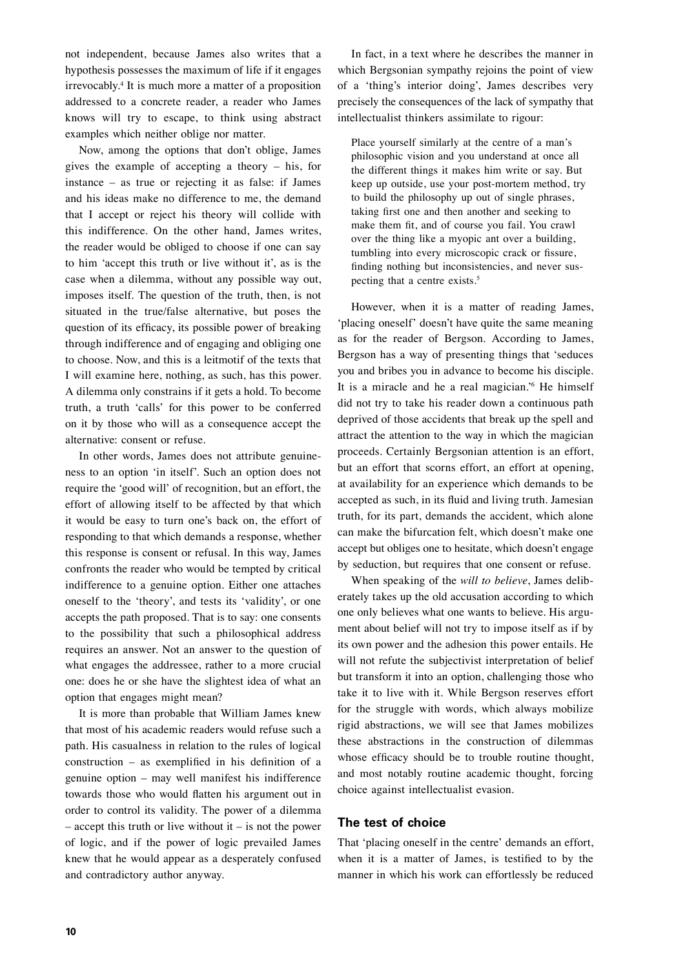not independent, because James also writes that a hypothesis possesses the maximum of life if it engages irrevocably.4 It is much more a matter of a proposition addressed to a concrete reader, a reader who James knows will try to escape, to think using abstract examples which neither oblige nor matter.

Now, among the options that don't oblige, James gives the example of accepting a theory – his, for instance – as true or rejecting it as false: if James and his ideas make no difference to me, the demand that I accept or reject his theory will collide with this indifference. On the other hand, James writes, the reader would be obliged to choose if one can say to him 'accept this truth or live without it', as is the case when a dilemma, without any possible way out, imposes itself. The question of the truth, then, is not situated in the true/false alternative, but poses the question of its efficacy, its possible power of breaking through indifference and of engaging and obliging one to choose. Now, and this is a leitmotif of the texts that I will examine here, nothing, as such, has this power. A dilemma only constrains if it gets a hold. To become truth, a truth 'calls' for this power to be conferred on it by those who will as a consequence accept the alternative: consent or refuse.

In other words, James does not attribute genuineness to an option 'in itself'. Such an option does not require the 'good will' of recognition, but an effort, the effort of allowing itself to be affected by that which it would be easy to turn one's back on, the effort of responding to that which demands a response, whether this response is consent or refusal. In this way, James confronts the reader who would be tempted by critical indifference to a genuine option. Either one attaches oneself to the 'theory', and tests its 'validity', or one accepts the path proposed. That is to say: one consents to the possibility that such a philosophical address requires an answer. Not an answer to the question of what engages the addressee, rather to a more crucial one: does he or she have the slightest idea of what an option that engages might mean?

It is more than probable that William James knew that most of his academic readers would refuse such a path. His casualness in relation to the rules of logical construction – as exemplified in his definition of a genuine option – may well manifest his indifference towards those who would flatten his argument out in order to control its validity. The power of a dilemma  $-$  accept this truth or live without it  $-$  is not the power of logic, and if the power of logic prevailed James knew that he would appear as a desperately confused and contradictory author anyway.

In fact, in a text where he describes the manner in which Bergsonian sympathy rejoins the point of view of a 'thing's interior doing', James describes very precisely the consequences of the lack of sympathy that intellectualist thinkers assimilate to rigour:

Place yourself similarly at the centre of a man's philosophic vision and you understand at once all the different things it makes him write or say. But keep up outside, use your post-mortem method, try to build the philosophy up out of single phrases, taking first one and then another and seeking to make them fit, and of course you fail. You crawl over the thing like a myopic ant over a building, tumbling into every microscopic crack or fissure, finding nothing but inconsistencies, and never suspecting that a centre exists.5

However, when it is a matter of reading James, 'placing oneself' doesn't have quite the same meaning as for the reader of Bergson. According to James, Bergson has a way of presenting things that 'seduces you and bribes you in advance to become his disciple. It is a miracle and he a real magician.'6 He himself did not try to take his reader down a continuous path deprived of those accidents that break up the spell and attract the attention to the way in which the magician proceeds. Certainly Bergsonian attention is an effort, but an effort that scorns effort, an effort at opening, at availability for an experience which demands to be accepted as such, in its fluid and living truth. Jamesian truth, for its part, demands the accident, which alone can make the bifurcation felt, which doesn't make one accept but obliges one to hesitate, which doesn't engage by seduction, but requires that one consent or refuse.

When speaking of the *will to believe*, James deliberately takes up the old accusation according to which one only believes what one wants to believe. His argument about belief will not try to impose itself as if by its own power and the adhesion this power entails. He will not refute the subjectivist interpretation of belief but transform it into an option, challenging those who take it to live with it. While Bergson reserves effort for the struggle with words, which always mobilize rigid abstractions, we will see that James mobilizes these abstractions in the construction of dilemmas whose efficacy should be to trouble routine thought, and most notably routine academic thought, forcing choice against intellectualist evasion.

#### **The test of choice**

That 'placing oneself in the centre' demands an effort, when it is a matter of James, is testified to by the manner in which his work can effortlessly be reduced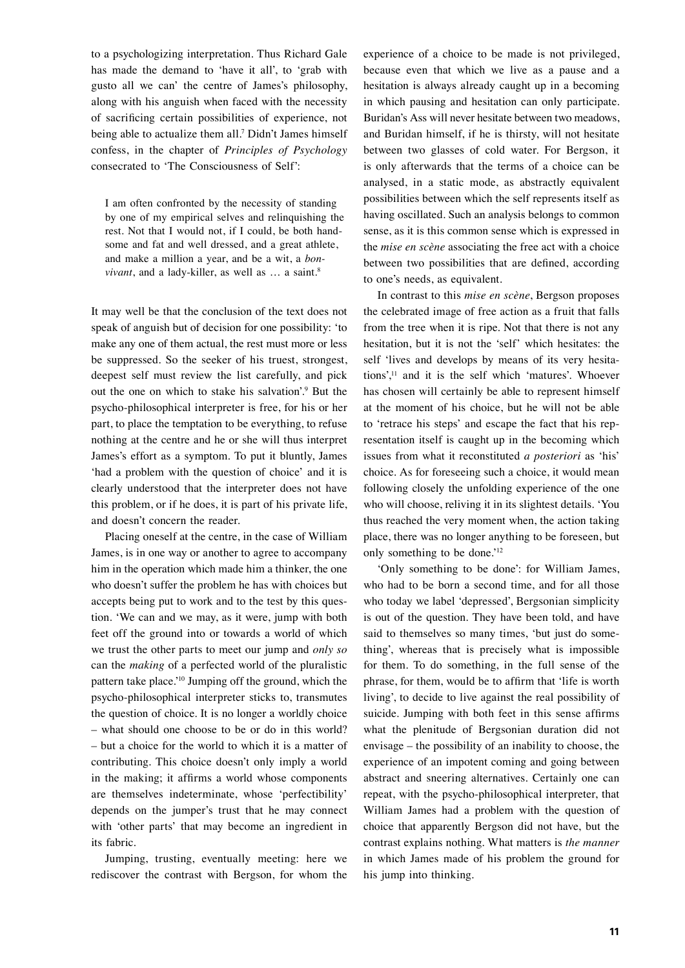to a psychologizing interpretation. Thus Richard Gale has made the demand to 'have it all', to 'grab with gusto all we can' the centre of James's philosophy, along with his anguish when faced with the necessity of sacrificing certain possibilities of experience, not being able to actualize them all.7 Didn't James himself confess, in the chapter of *Principles of Psychology* consecrated to 'The Consciousness of Self':

I am often confronted by the necessity of standing by one of my empirical selves and relinquishing the rest. Not that I would not, if I could, be both handsome and fat and well dressed, and a great athlete, and make a million a year, and be a wit, a *bonvivant*, and a lady-killer, as well as ... a saint.<sup>8</sup>

It may well be that the conclusion of the text does not speak of anguish but of decision for one possibility: 'to make any one of them actual, the rest must more or less be suppressed. So the seeker of his truest, strongest, deepest self must review the list carefully, and pick out the one on which to stake his salvation'.9 But the psycho-philosophical interpreter is free, for his or her part, to place the temptation to be everything, to refuse nothing at the centre and he or she will thus interpret James's effort as a symptom. To put it bluntly, James 'had a problem with the question of choice' and it is clearly understood that the interpreter does not have this problem, or if he does, it is part of his private life, and doesn't concern the reader.

Placing oneself at the centre, in the case of William James, is in one way or another to agree to accompany him in the operation which made him a thinker, the one who doesn't suffer the problem he has with choices but accepts being put to work and to the test by this question. 'We can and we may, as it were, jump with both feet off the ground into or towards a world of which we trust the other parts to meet our jump and *only so*  can the *making* of a perfected world of the pluralistic pattern take place.'10 Jumping off the ground, which the psycho-philosophical interpreter sticks to, transmutes the question of choice. It is no longer a worldly choice – what should one choose to be or do in this world? – but a choice for the world to which it is a matter of contributing. This choice doesn't only imply a world in the making; it affirms a world whose components are themselves indeterminate, whose 'perfectibility' depends on the jumper's trust that he may connect with 'other parts' that may become an ingredient in its fabric.

Jumping, trusting, eventually meeting: here we rediscover the contrast with Bergson, for whom the experience of a choice to be made is not privileged, because even that which we live as a pause and a hesitation is always already caught up in a becoming in which pausing and hesitation can only participate. Buridan's Ass will never hesitate between two meadows, and Buridan himself, if he is thirsty, will not hesitate between two glasses of cold water. For Bergson, it is only afterwards that the terms of a choice can be analysed, in a static mode, as abstractly equivalent possibilities between which the self represents itself as having oscillated. Such an analysis belongs to common sense, as it is this common sense which is expressed in the *mise en scène* associating the free act with a choice between two possibilities that are defined, according to one's needs, as equivalent.

In contrast to this *mise en scène*, Bergson proposes the celebrated image of free action as a fruit that falls from the tree when it is ripe. Not that there is not any hesitation, but it is not the 'self' which hesitates: the self 'lives and develops by means of its very hesitations',11 and it is the self which 'matures'. Whoever has chosen will certainly be able to represent himself at the moment of his choice, but he will not be able to 'retrace his steps' and escape the fact that his representation itself is caught up in the becoming which issues from what it reconstituted *a posteriori* as 'his' choice. As for foreseeing such a choice, it would mean following closely the unfolding experience of the one who will choose, reliving it in its slightest details. 'You thus reached the very moment when, the action taking place, there was no longer anything to be foreseen, but only something to be done.'12

'Only something to be done': for William James, who had to be born a second time, and for all those who today we label 'depressed', Bergsonian simplicity is out of the question. They have been told, and have said to themselves so many times, 'but just do something', whereas that is precisely what is impossible for them. To do something, in the full sense of the phrase, for them, would be to affirm that 'life is worth living', to decide to live against the real possibility of suicide. Jumping with both feet in this sense affirms what the plenitude of Bergsonian duration did not envisage – the possibility of an inability to choose, the experience of an impotent coming and going between abstract and sneering alternatives. Certainly one can repeat, with the psycho-philosophical interpreter, that William James had a problem with the question of choice that apparently Bergson did not have, but the contrast explains nothing. What matters is *the manner* in which James made of his problem the ground for his jump into thinking.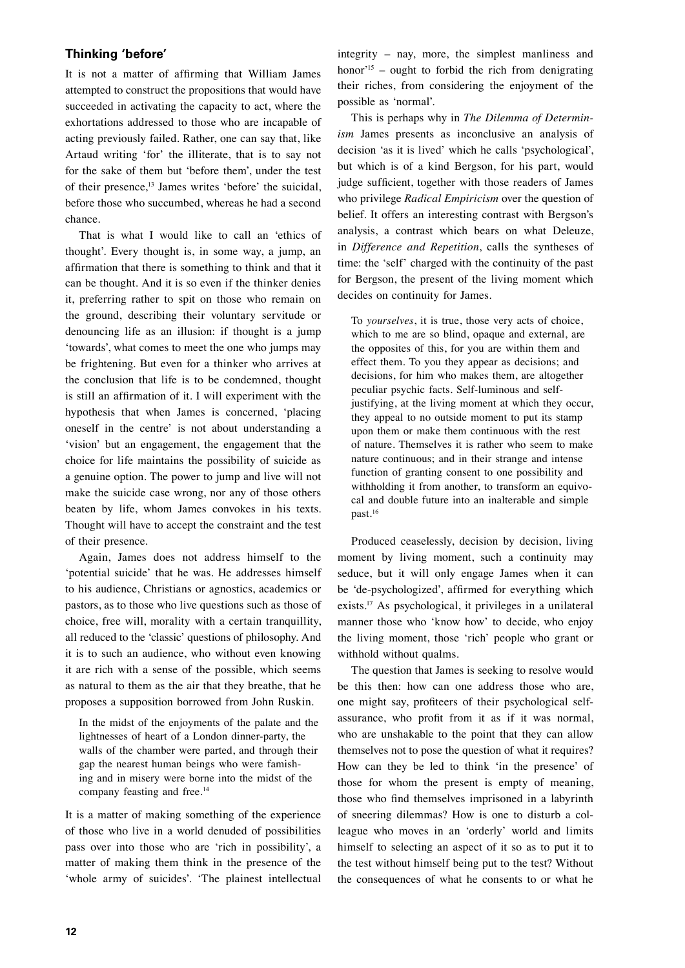#### **Thinking 'before'**

It is not a matter of affirming that William James attempted to construct the propositions that would have succeeded in activating the capacity to act, where the exhortations addressed to those who are incapable of acting previously failed. Rather, one can say that, like Artaud writing 'for' the illiterate, that is to say not for the sake of them but 'before them', under the test of their presence,13 James writes 'before' the suicidal, before those who succumbed, whereas he had a second chance.

That is what I would like to call an 'ethics of thought'. Every thought is, in some way, a jump, an affirmation that there is something to think and that it can be thought. And it is so even if the thinker denies it, preferring rather to spit on those who remain on the ground, describing their voluntary servitude or denouncing life as an illusion: if thought is a jump 'towards', what comes to meet the one who jumps may be frightening. But even for a thinker who arrives at the conclusion that life is to be condemned, thought is still an affirmation of it. I will experiment with the hypothesis that when James is concerned, 'placing oneself in the centre' is not about understanding a 'vision' but an engagement, the engagement that the choice for life maintains the possibility of suicide as a genuine option. The power to jump and live will not make the suicide case wrong, nor any of those others beaten by life, whom James convokes in his texts. Thought will have to accept the constraint and the test of their presence.

Again, James does not address himself to the 'potential suicide' that he was. He addresses himself to his audience, Christians or agnostics, academics or pastors, as to those who live questions such as those of choice, free will, morality with a certain tranquillity, all reduced to the 'classic' questions of philosophy. And it is to such an audience, who without even knowing it are rich with a sense of the possible, which seems as natural to them as the air that they breathe, that he proposes a supposition borrowed from John Ruskin.

In the midst of the enjoyments of the palate and the lightnesses of heart of a London dinner-party, the walls of the chamber were parted, and through their gap the nearest human beings who were famishing and in misery were borne into the midst of the company feasting and free.<sup>14</sup>

It is a matter of making something of the experience of those who live in a world denuded of possibilities pass over into those who are 'rich in possibility', a matter of making them think in the presence of the 'whole army of suicides'. 'The plainest intellectual integrity – nay, more, the simplest manliness and honor'<sup>15</sup> – ought to forbid the rich from denigrating their riches, from considering the enjoyment of the possible as 'normal'.

This is perhaps why in *The Dilemma of Determinism* James presents as inconclusive an analysis of decision 'as it is lived' which he calls 'psychological', but which is of a kind Bergson, for his part, would judge sufficient, together with those readers of James who privilege *Radical Empiricism* over the question of belief. It offers an interesting contrast with Bergson's analysis, a contrast which bears on what Deleuze, in *Difference and Repetition*, calls the syntheses of time: the 'self' charged with the continuity of the past for Bergson, the present of the living moment which decides on continuity for James.

To *yourselves*, it is true, those very acts of choice, which to me are so blind, opaque and external, are the opposites of this, for you are within them and effect them. To you they appear as decisions; and decisions, for him who makes them, are altogether peculiar psychic facts. Self-luminous and selfjustifying, at the living moment at which they occur, they appeal to no outside moment to put its stamp upon them or make them continuous with the rest of nature. Themselves it is rather who seem to make nature continuous; and in their strange and intense function of granting consent to one possibility and withholding it from another, to transform an equivocal and double future into an inalterable and simple past.16

Produced ceaselessly, decision by decision, living moment by living moment, such a continuity may seduce, but it will only engage James when it can be 'de-psychologized', affirmed for everything which exists.<sup>17</sup> As psychological, it privileges in a unilateral manner those who 'know how' to decide, who enjoy the living moment, those 'rich' people who grant or withhold without qualms.

The question that James is seeking to resolve would be this then: how can one address those who are, one might say, profiteers of their psychological selfassurance, who profit from it as if it was normal, who are unshakable to the point that they can allow themselves not to pose the question of what it requires? How can they be led to think 'in the presence' of those for whom the present is empty of meaning, those who find themselves imprisoned in a labyrinth of sneering dilemmas? How is one to disturb a colleague who moves in an 'orderly' world and limits himself to selecting an aspect of it so as to put it to the test without himself being put to the test? Without the consequences of what he consents to or what he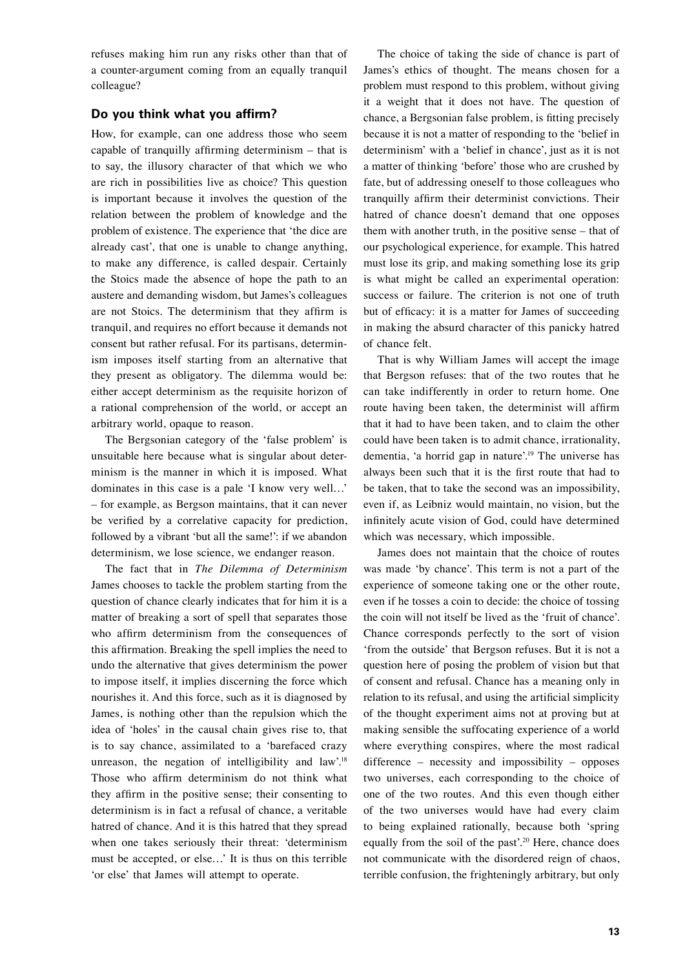refuses making him run any risks other than that of a counter-argument coming from an equally tranquil colleague?

#### **Do you think what you affirm?**

How, for example, can one address those who seem capable of tranquilly affirming determinism – that is to say, the illusory character of that which we who are rich in possibilities live as choice? This question is important because it involves the question of the relation between the problem of knowledge and the problem of existence. The experience that 'the dice are already cast', that one is unable to change anything, to make any difference, is called despair. Certainly the Stoics made the absence of hope the path to an austere and demanding wisdom, but James's colleagues are not Stoics. The determinism that they affirm is tranquil, and requires no effort because it demands not consent but rather refusal. For its partisans, determinism imposes itself starting from an alternative that they present as obligatory. The dilemma would be: either accept determinism as the requisite horizon of a rational comprehension of the world, or accept an arbitrary world, opaque to reason.

The Bergsonian category of the 'false problem' is unsuitable here because what is singular about determinism is the manner in which it is imposed. What dominates in this case is a pale 'I know very well…' – for example, as Bergson maintains, that it can never be verified by a correlative capacity for prediction, followed by a vibrant 'but all the same!': if we abandon determinism, we lose science, we endanger reason.

The fact that in *The Dilemma of Determinism* James chooses to tackle the problem starting from the question of chance clearly indicates that for him it is a matter of breaking a sort of spell that separates those who affirm determinism from the consequences of this affirmation. Breaking the spell implies the need to undo the alternative that gives determinism the power to impose itself, it implies discerning the force which nourishes it. And this force, such as it is diagnosed by James, is nothing other than the repulsion which the idea of 'holes' in the causal chain gives rise to, that is to say chance, assimilated to a 'barefaced crazy unreason, the negation of intelligibility and law'.<sup>18</sup> Those who affirm determinism do not think what they affirm in the positive sense; their consenting to determinism is in fact a refusal of chance, a veritable hatred of chance. And it is this hatred that they spread when one takes seriously their threat: 'determinism must be accepted, or else…' It is thus on this terrible 'or else' that James will attempt to operate.

The choice of taking the side of chance is part of James's ethics of thought. The means chosen for a problem must respond to this problem, without giving it a weight that it does not have. The question of chance, a Bergsonian false problem, is fitting precisely because it is not a matter of responding to the 'belief in determinism' with a 'belief in chance', just as it is not a matter of thinking 'before' those who are crushed by fate, but of addressing oneself to those colleagues who tranquilly affirm their determinist convictions. Their hatred of chance doesn't demand that one opposes them with another truth, in the positive sense – that of our psychological experience, for example. This hatred must lose its grip, and making something lose its grip is what might be called an experimental operation: success or failure. The criterion is not one of truth but of efficacy: it is a matter for James of succeeding in making the absurd character of this panicky hatred of chance felt.

That is why William James will accept the image that Bergson refuses: that of the two routes that he can take indifferently in order to return home. One route having been taken, the determinist will affirm that it had to have been taken, and to claim the other could have been taken is to admit chance, irrationality, dementia, 'a horrid gap in nature'.19 The universe has always been such that it is the first route that had to be taken, that to take the second was an impossibility, even if, as Leibniz would maintain, no vision, but the infinitely acute vision of God, could have determined which was necessary, which impossible.

James does not maintain that the choice of routes was made 'by chance'. This term is not a part of the experience of someone taking one or the other route, even if he tosses a coin to decide: the choice of tossing the coin will not itself be lived as the 'fruit of chance'. Chance corresponds perfectly to the sort of vision 'from the outside' that Bergson refuses. But it is not a question here of posing the problem of vision but that of consent and refusal. Chance has a meaning only in relation to its refusal, and using the artificial simplicity of the thought experiment aims not at proving but at making sensible the suffocating experience of a world where everything conspires, where the most radical difference – necessity and impossibility – opposes two universes, each corresponding to the choice of one of the two routes. And this even though either of the two universes would have had every claim to being explained rationally, because both 'spring equally from the soil of the past'.20 Here, chance does not communicate with the disordered reign of chaos, terrible confusion, the frighteningly arbitrary, but only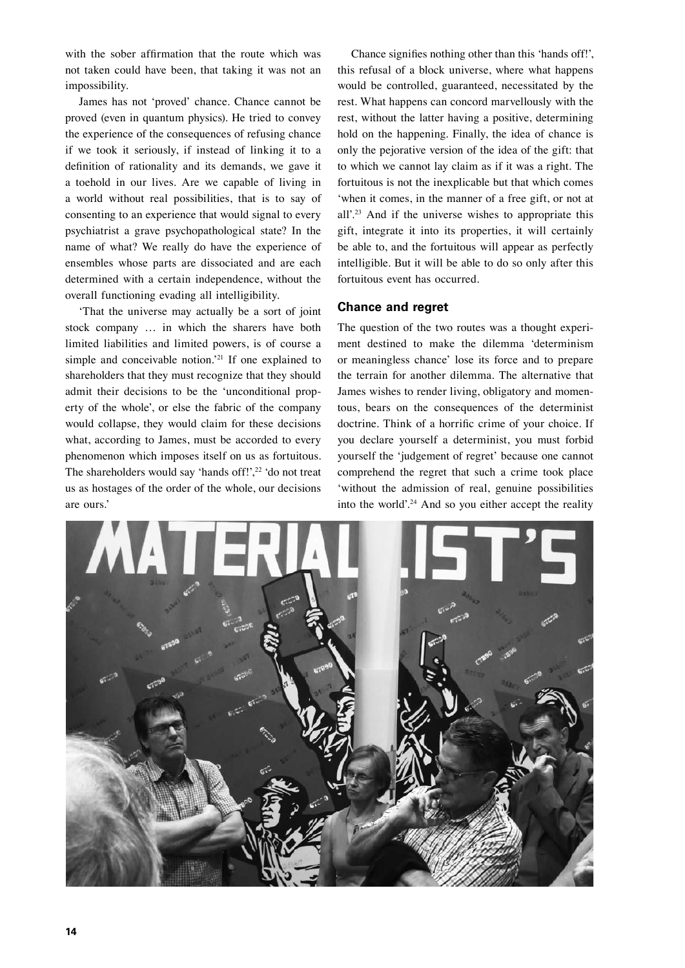with the sober affirmation that the route which was not taken could have been, that taking it was not an impossibility.

James has not 'proved' chance. Chance cannot be proved (even in quantum physics). He tried to convey the experience of the consequences of refusing chance if we took it seriously, if instead of linking it to a definition of rationality and its demands, we gave it a toehold in our lives. Are we capable of living in a world without real possibilities, that is to say of consenting to an experience that would signal to every psychiatrist a grave psychopathological state? In the name of what? We really do have the experience of ensembles whose parts are dissociated and are each determined with a certain independence, without the overall functioning evading all intelligibility.

'That the universe may actually be a sort of joint stock company … in which the sharers have both limited liabilities and limited powers, is of course a simple and conceivable notion.'21 If one explained to shareholders that they must recognize that they should admit their decisions to be the 'unconditional property of the whole', or else the fabric of the company would collapse, they would claim for these decisions what, according to James, must be accorded to every phenomenon which imposes itself on us as fortuitous. The shareholders would say 'hands off!',<sup>22</sup> 'do not treat us as hostages of the order of the whole, our decisions are ours.'

Chance signifies nothing other than this 'hands off!', this refusal of a block universe, where what happens would be controlled, guaranteed, necessitated by the rest. What happens can concord marvellously with the rest, without the latter having a positive, determining hold on the happening. Finally, the idea of chance is only the pejorative version of the idea of the gift: that to which we cannot lay claim as if it was a right. The fortuitous is not the inexplicable but that which comes 'when it comes, in the manner of a free gift, or not at all'.23 And if the universe wishes to appropriate this gift, integrate it into its properties, it will certainly be able to, and the fortuitous will appear as perfectly intelligible. But it will be able to do so only after this fortuitous event has occurred.

#### **Chance and regret**

The question of the two routes was a thought experiment destined to make the dilemma 'determinism or meaningless chance' lose its force and to prepare the terrain for another dilemma. The alternative that James wishes to render living, obligatory and momentous, bears on the consequences of the determinist doctrine. Think of a horrific crime of your choice. If you declare yourself a determinist, you must forbid yourself the 'judgement of regret' because one cannot comprehend the regret that such a crime took place 'without the admission of real, genuine possibilities into the world'.<sup>24</sup> And so you either accept the reality

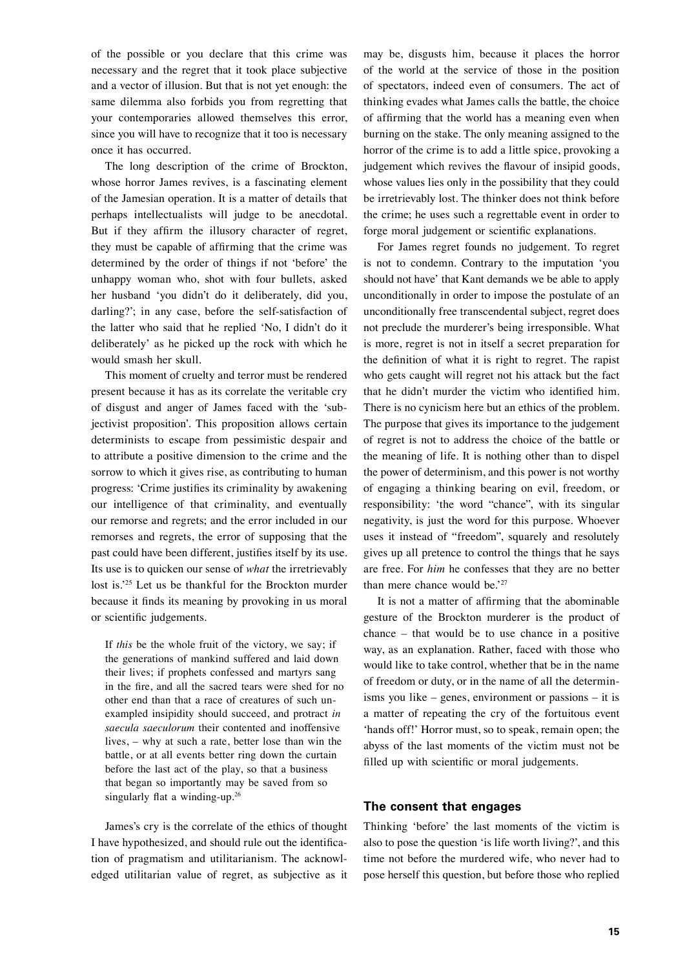of the possible or you declare that this crime was necessary and the regret that it took place subjective and a vector of illusion. But that is not yet enough: the same dilemma also forbids you from regretting that your contemporaries allowed themselves this error, since you will have to recognize that it too is necessary once it has occurred.

The long description of the crime of Brockton, whose horror James revives, is a fascinating element of the Jamesian operation. It is a matter of details that perhaps intellectualists will judge to be anecdotal. But if they affirm the illusory character of regret, they must be capable of affirming that the crime was determined by the order of things if not 'before' the unhappy woman who, shot with four bullets, asked her husband 'you didn't do it deliberately, did you, darling?'; in any case, before the self-satisfaction of the latter who said that he replied 'No, I didn't do it deliberately' as he picked up the rock with which he would smash her skull.

This moment of cruelty and terror must be rendered present because it has as its correlate the veritable cry of disgust and anger of James faced with the 'subjectivist proposition'. This proposition allows certain determinists to escape from pessimistic despair and to attribute a positive dimension to the crime and the sorrow to which it gives rise, as contributing to human progress: 'Crime justifies its criminality by awakening our intelligence of that criminality, and eventually our remorse and regrets; and the error included in our remorses and regrets, the error of supposing that the past could have been different, justifies itself by its use. Its use is to quicken our sense of *what* the irretrievably lost is.'25 Let us be thankful for the Brockton murder because it finds its meaning by provoking in us moral or scientific judgements.

If *this* be the whole fruit of the victory, we say; if the generations of mankind suffered and laid down their lives; if prophets confessed and martyrs sang in the fire, and all the sacred tears were shed for no other end than that a race of creatures of such unexampled insipidity should succeed, and protract *in saecula saeculorum* their contented and inoffensive lives, – why at such a rate, better lose than win the battle, or at all events better ring down the curtain before the last act of the play, so that a business that began so importantly may be saved from so singularly flat a winding-up.<sup>26</sup>

James's cry is the correlate of the ethics of thought I have hypothesized, and should rule out the identification of pragmatism and utilitarianism. The acknowledged utilitarian value of regret, as subjective as it may be, disgusts him, because it places the horror of the world at the service of those in the position of spectators, indeed even of consumers. The act of thinking evades what James calls the battle, the choice of affirming that the world has a meaning even when burning on the stake. The only meaning assigned to the horror of the crime is to add a little spice, provoking a judgement which revives the flavour of insipid goods, whose values lies only in the possibility that they could be irretrievably lost. The thinker does not think before the crime; he uses such a regrettable event in order to forge moral judgement or scientific explanations.

For James regret founds no judgement. To regret is not to condemn. Contrary to the imputation 'you should not have' that Kant demands we be able to apply unconditionally in order to impose the postulate of an unconditionally free transcendental subject, regret does not preclude the murderer's being irresponsible. What is more, regret is not in itself a secret preparation for the definition of what it is right to regret. The rapist who gets caught will regret not his attack but the fact that he didn't murder the victim who identified him. There is no cynicism here but an ethics of the problem. The purpose that gives its importance to the judgement of regret is not to address the choice of the battle or the meaning of life. It is nothing other than to dispel the power of determinism, and this power is not worthy of engaging a thinking bearing on evil, freedom, or responsibility: 'the word "chance", with its singular negativity, is just the word for this purpose. Whoever uses it instead of "freedom", squarely and resolutely gives up all pretence to control the things that he says are free. For *him* he confesses that they are no better than mere chance would be.'27

It is not a matter of affirming that the abominable gesture of the Brockton murderer is the product of chance – that would be to use chance in a positive way, as an explanation. Rather, faced with those who would like to take control, whether that be in the name of freedom or duty, or in the name of all the determinisms you like – genes, environment or passions – it is a matter of repeating the cry of the fortuitous event 'hands off!' Horror must, so to speak, remain open; the abyss of the last moments of the victim must not be filled up with scientific or moral judgements.

#### **The consent that engages**

Thinking 'before' the last moments of the victim is also to pose the question 'is life worth living?', and this time not before the murdered wife, who never had to pose herself this question, but before those who replied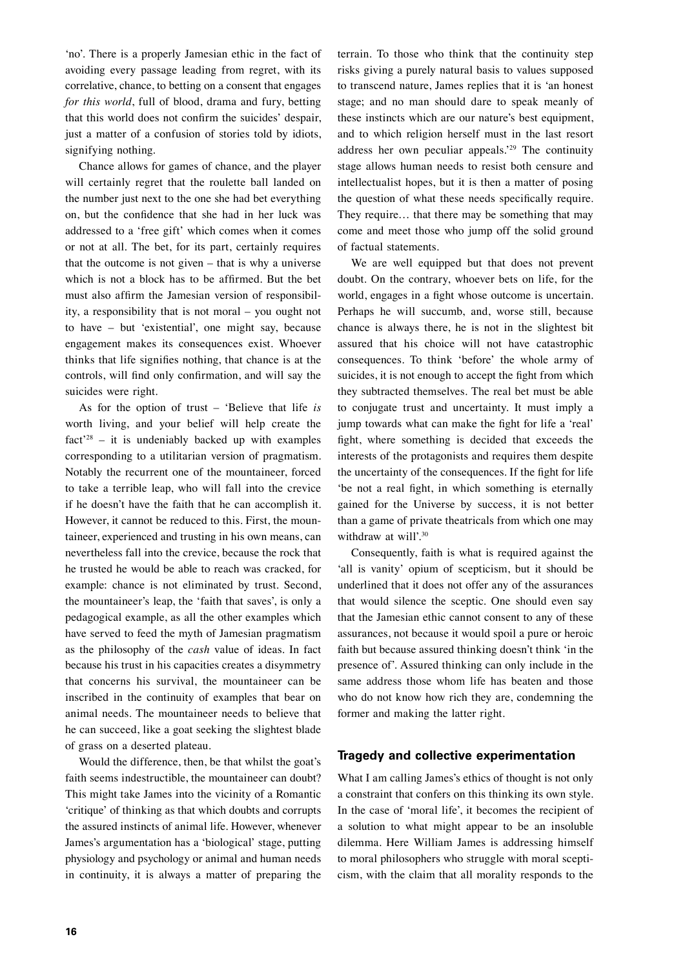'no'. There is a properly Jamesian ethic in the fact of avoiding every passage leading from regret, with its correlative, chance, to betting on a consent that engages *for this world*, full of blood, drama and fury, betting that this world does not confirm the suicides' despair, just a matter of a confusion of stories told by idiots, signifying nothing.

Chance allows for games of chance, and the player will certainly regret that the roulette ball landed on the number just next to the one she had bet everything on, but the confidence that she had in her luck was addressed to a 'free gift' which comes when it comes or not at all. The bet, for its part, certainly requires that the outcome is not given – that is why a universe which is not a block has to be affirmed. But the bet must also affirm the Jamesian version of responsibility, a responsibility that is not moral – you ought not to have – but 'existential', one might say, because engagement makes its consequences exist. Whoever thinks that life signifies nothing, that chance is at the controls, will find only confirmation, and will say the suicides were right.

As for the option of trust – 'Believe that life *is* worth living, and your belief will help create the  $fact<sup>28</sup> - it is *unchi* to *backed* up with examples$ corresponding to a utilitarian version of pragmatism. Notably the recurrent one of the mountaineer, forced to take a terrible leap, who will fall into the crevice if he doesn't have the faith that he can accomplish it. However, it cannot be reduced to this. First, the mountaineer, experienced and trusting in his own means, can nevertheless fall into the crevice, because the rock that he trusted he would be able to reach was cracked, for example: chance is not eliminated by trust. Second, the mountaineer's leap, the 'faith that saves', is only a pedagogical example, as all the other examples which have served to feed the myth of Jamesian pragmatism as the philosophy of the *cash* value of ideas. In fact because his trust in his capacities creates a disymmetry that concerns his survival, the mountaineer can be inscribed in the continuity of examples that bear on animal needs. The mountaineer needs to believe that he can succeed, like a goat seeking the slightest blade of grass on a deserted plateau.

Would the difference, then, be that whilst the goat's faith seems indestructible, the mountaineer can doubt? This might take James into the vicinity of a Romantic 'critique' of thinking as that which doubts and corrupts the assured instincts of animal life. However, whenever James's argumentation has a 'biological' stage, putting physiology and psychology or animal and human needs in continuity, it is always a matter of preparing the

terrain. To those who think that the continuity step risks giving a purely natural basis to values supposed to transcend nature, James replies that it is 'an honest stage; and no man should dare to speak meanly of these instincts which are our nature's best equipment, and to which religion herself must in the last resort address her own peculiar appeals.'29 The continuity stage allows human needs to resist both censure and intellectualist hopes, but it is then a matter of posing the question of what these needs specifically require. They require… that there may be something that may come and meet those who jump off the solid ground of factual statements.

We are well equipped but that does not prevent doubt. On the contrary, whoever bets on life, for the world, engages in a fight whose outcome is uncertain. Perhaps he will succumb, and, worse still, because chance is always there, he is not in the slightest bit assured that his choice will not have catastrophic consequences. To think 'before' the whole army of suicides, it is not enough to accept the fight from which they subtracted themselves. The real bet must be able to conjugate trust and uncertainty. It must imply a jump towards what can make the fight for life a 'real' fight, where something is decided that exceeds the interests of the protagonists and requires them despite the uncertainty of the consequences. If the fight for life 'be not a real fight, in which something is eternally gained for the Universe by success, it is not better than a game of private theatricals from which one may withdraw at will'.<sup>30</sup>

Consequently, faith is what is required against the 'all is vanity' opium of scepticism, but it should be underlined that it does not offer any of the assurances that would silence the sceptic. One should even say that the Jamesian ethic cannot consent to any of these assurances, not because it would spoil a pure or heroic faith but because assured thinking doesn't think 'in the presence of'. Assured thinking can only include in the same address those whom life has beaten and those who do not know how rich they are, condemning the former and making the latter right.

#### **Tragedy and collective experimentation**

What I am calling James's ethics of thought is not only a constraint that confers on this thinking its own style. In the case of 'moral life', it becomes the recipient of a solution to what might appear to be an insoluble dilemma. Here William James is addressing himself to moral philosophers who struggle with moral scepticism, with the claim that all morality responds to the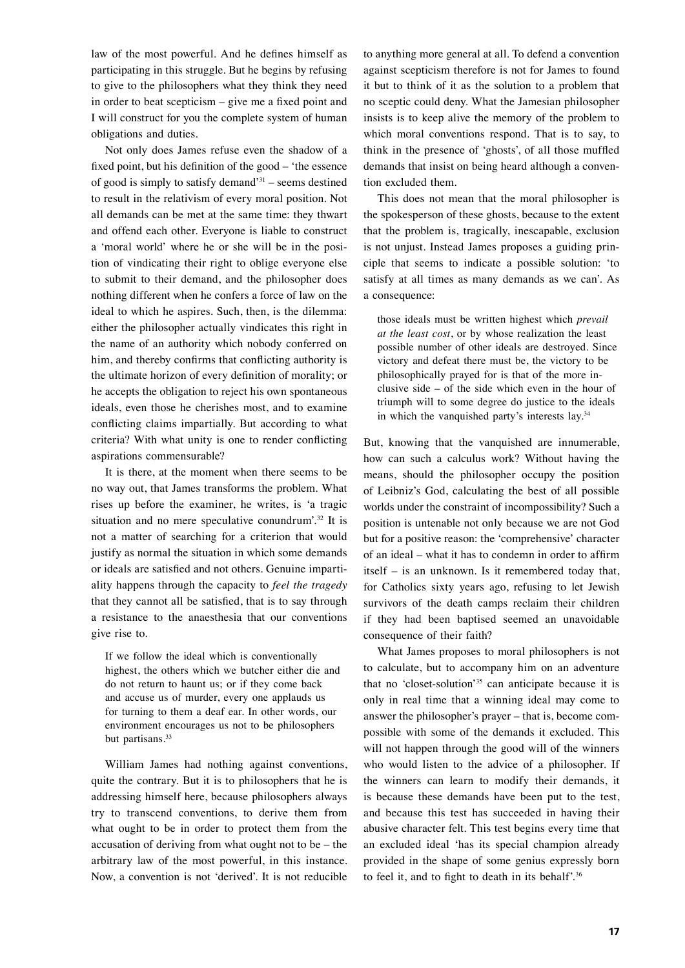law of the most powerful. And he defines himself as participating in this struggle. But he begins by refusing to give to the philosophers what they think they need in order to beat scepticism – give me a fixed point and I will construct for you the complete system of human obligations and duties.

Not only does James refuse even the shadow of a fixed point, but his definition of the good – 'the essence of good is simply to satisfy demand<sup>31</sup> – seems destined to result in the relativism of every moral position. Not all demands can be met at the same time: they thwart and offend each other. Everyone is liable to construct a 'moral world' where he or she will be in the position of vindicating their right to oblige everyone else to submit to their demand, and the philosopher does nothing different when he confers a force of law on the ideal to which he aspires. Such, then, is the dilemma: either the philosopher actually vindicates this right in the name of an authority which nobody conferred on him, and thereby confirms that conflicting authority is the ultimate horizon of every definition of morality; or he accepts the obligation to reject his own spontaneous ideals, even those he cherishes most, and to examine conflicting claims impartially. But according to what criteria? With what unity is one to render conflicting aspirations commensurable?

It is there, at the moment when there seems to be no way out, that James transforms the problem. What rises up before the examiner, he writes, is 'a tragic situation and no mere speculative conundrum'.32 It is not a matter of searching for a criterion that would justify as normal the situation in which some demands or ideals are satisfied and not others. Genuine impartiality happens through the capacity to *feel the tragedy* that they cannot all be satisfied, that is to say through a resistance to the anaesthesia that our conventions give rise to.

If we follow the ideal which is conventionally highest, the others which we butcher either die and do not return to haunt us; or if they come back and accuse us of murder, every one applauds us for turning to them a deaf ear. In other words, our environment encourages us not to be philosophers but partisans.<sup>33</sup>

William James had nothing against conventions, quite the contrary. But it is to philosophers that he is addressing himself here, because philosophers always try to transcend conventions, to derive them from what ought to be in order to protect them from the accusation of deriving from what ought not to be – the arbitrary law of the most powerful, in this instance. Now, a convention is not 'derived'. It is not reducible to anything more general at all. To defend a convention against scepticism therefore is not for James to found it but to think of it as the solution to a problem that no sceptic could deny. What the Jamesian philosopher insists is to keep alive the memory of the problem to which moral conventions respond. That is to say, to think in the presence of 'ghosts', of all those muffled demands that insist on being heard although a convention excluded them.

This does not mean that the moral philosopher is the spokesperson of these ghosts, because to the extent that the problem is, tragically, inescapable, exclusion is not unjust. Instead James proposes a guiding principle that seems to indicate a possible solution: 'to satisfy at all times as many demands as we can'. As a consequence:

those ideals must be written highest which *prevail at the least cost*, or by whose realization the least possible number of other ideals are destroyed. Since victory and defeat there must be, the victory to be philosophically prayed for is that of the more inclusive side – of the side which even in the hour of triumph will to some degree do justice to the ideals in which the vanquished party's interests lay.<sup>34</sup>

But, knowing that the vanquished are innumerable, how can such a calculus work? Without having the means, should the philosopher occupy the position of Leibniz's God, calculating the best of all possible worlds under the constraint of incompossibility? Such a position is untenable not only because we are not God but for a positive reason: the 'comprehensive' character of an ideal – what it has to condemn in order to affirm itself – is an unknown. Is it remembered today that, for Catholics sixty years ago, refusing to let Jewish survivors of the death camps reclaim their children if they had been baptised seemed an unavoidable consequence of their faith?

What James proposes to moral philosophers is not to calculate, but to accompany him on an adventure that no 'closet-solution'35 can anticipate because it is only in real time that a winning ideal may come to answer the philosopher's prayer – that is, become compossible with some of the demands it excluded. This will not happen through the good will of the winners who would listen to the advice of a philosopher. If the winners can learn to modify their demands, it is because these demands have been put to the test, and because this test has succeeded in having their abusive character felt. This test begins every time that an excluded ideal 'has its special champion already provided in the shape of some genius expressly born to feel it, and to fight to death in its behalf'.36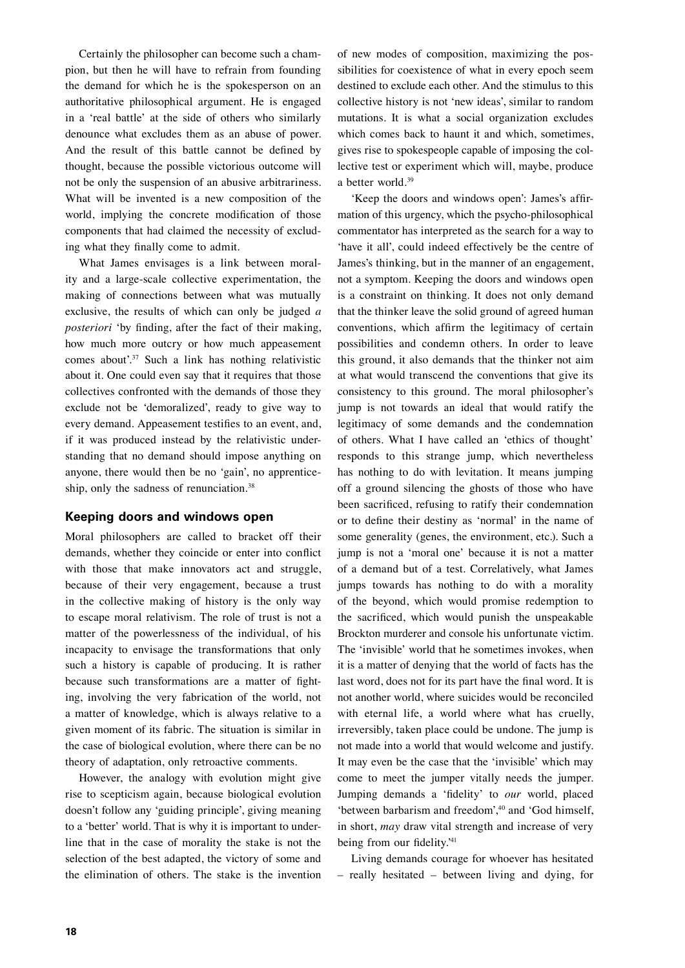Certainly the philosopher can become such a champion, but then he will have to refrain from founding the demand for which he is the spokesperson on an authoritative philosophical argument. He is engaged in a 'real battle' at the side of others who similarly denounce what excludes them as an abuse of power. And the result of this battle cannot be defined by thought, because the possible victorious outcome will not be only the suspension of an abusive arbitrariness. What will be invented is a new composition of the world, implying the concrete modification of those components that had claimed the necessity of excluding what they finally come to admit.

What James envisages is a link between morality and a large-scale collective experimentation, the making of connections between what was mutually exclusive, the results of which can only be judged *a posteriori* 'by finding, after the fact of their making, how much more outcry or how much appeasement comes about'.37 Such a link has nothing relativistic about it. One could even say that it requires that those collectives confronted with the demands of those they exclude not be 'demoralized', ready to give way to every demand. Appeasement testifies to an event, and, if it was produced instead by the relativistic understanding that no demand should impose anything on anyone, there would then be no 'gain', no apprenticeship, only the sadness of renunciation.<sup>38</sup>

#### **Keeping doors and windows open**

Moral philosophers are called to bracket off their demands, whether they coincide or enter into conflict with those that make innovators act and struggle, because of their very engagement, because a trust in the collective making of history is the only way to escape moral relativism. The role of trust is not a matter of the powerlessness of the individual, of his incapacity to envisage the transformations that only such a history is capable of producing. It is rather because such transformations are a matter of fighting, involving the very fabrication of the world, not a matter of knowledge, which is always relative to a given moment of its fabric. The situation is similar in the case of biological evolution, where there can be no theory of adaptation, only retroactive comments.

However, the analogy with evolution might give rise to scepticism again, because biological evolution doesn't follow any 'guiding principle', giving meaning to a 'better' world. That is why it is important to underline that in the case of morality the stake is not the selection of the best adapted, the victory of some and the elimination of others. The stake is the invention

of new modes of composition, maximizing the possibilities for coexistence of what in every epoch seem destined to exclude each other. And the stimulus to this collective history is not 'new ideas', similar to random mutations. It is what a social organization excludes which comes back to haunt it and which, sometimes, gives rise to spokespeople capable of imposing the collective test or experiment which will, maybe, produce a better world.39

'Keep the doors and windows open': James's affirmation of this urgency, which the psycho-philosophical commentator has interpreted as the search for a way to 'have it all', could indeed effectively be the centre of James's thinking, but in the manner of an engagement, not a symptom. Keeping the doors and windows open is a constraint on thinking. It does not only demand that the thinker leave the solid ground of agreed human conventions, which affirm the legitimacy of certain possibilities and condemn others. In order to leave this ground, it also demands that the thinker not aim at what would transcend the conventions that give its consistency to this ground. The moral philosopher's jump is not towards an ideal that would ratify the legitimacy of some demands and the condemnation of others. What I have called an 'ethics of thought' responds to this strange jump, which nevertheless has nothing to do with levitation. It means jumping off a ground silencing the ghosts of those who have been sacrificed, refusing to ratify their condemnation or to define their destiny as 'normal' in the name of some generality (genes, the environment, etc.). Such a jump is not a 'moral one' because it is not a matter of a demand but of a test. Correlatively, what James jumps towards has nothing to do with a morality of the beyond, which would promise redemption to the sacrificed, which would punish the unspeakable Brockton murderer and console his unfortunate victim. The 'invisible' world that he sometimes invokes, when it is a matter of denying that the world of facts has the last word, does not for its part have the final word. It is not another world, where suicides would be reconciled with eternal life, a world where what has cruelly, irreversibly, taken place could be undone. The jump is not made into a world that would welcome and justify. It may even be the case that the 'invisible' which may come to meet the jumper vitally needs the jumper. Jumping demands a 'fidelity' to *our* world, placed 'between barbarism and freedom',<sup>40</sup> and 'God himself, in short, *may* draw vital strength and increase of very being from our fidelity.'<sup>41</sup>

Living demands courage for whoever has hesitated – really hesitated – between living and dying, for